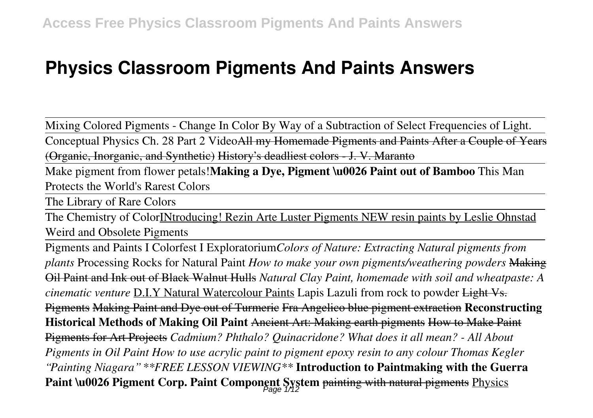# **Physics Classroom Pigments And Paints Answers**

Mixing Colored Pigments - Change In Color By Way of a Subtraction of Select Frequencies of Light.

Conceptual Physics Ch. 28 Part 2 VideoAll my Homemade Pigments and Paints After a Couple of Years (Organic, Inorganic, and Synthetic) History's deadliest colors - J. V. Maranto

Make pigment from flower petals!**Making a Dye, Pigment \u0026 Paint out of Bamboo** This Man Protects the World's Rarest Colors

The Library of Rare Colors

The Chemistry of ColorINtroducing! Rezin Arte Luster Pigments NEW resin paints by Leslie Ohnstad Weird and Obsolete Pigments

Pigments and Paints I Colorfest I Exploratorium*Colors of Nature: Extracting Natural pigments from plants* Processing Rocks for Natural Paint *How to make your own pigments/weathering powders* Making Oil Paint and Ink out of Black Walnut Hulls *Natural Clay Paint, homemade with soil and wheatpaste: A cinematic venture* D.I.Y Natural Watercolour Paints Lapis Lazuli from rock to powder Light Vs. Pigments Making Paint and Dye out of Turmeric Fra Angelico blue pigment extraction **Reconstructing Historical Methods of Making Oil Paint** Ancient Art: Making earth pigments How to Make Paint Pigments for Art Projects *Cadmium? Phthalo? Quinacridone? What does it all mean? - All About Pigments in Oil Paint How to use acrylic paint to pigment epoxy resin to any colour Thomas Kegler "Painting Niagara" \*\*FREE LESSON VIEWING\*\** **Introduction to Paintmaking with the Guerra** Paint \u0026 Pigment Corp. Paint Component System <del>painting with natural pigments</del> Physics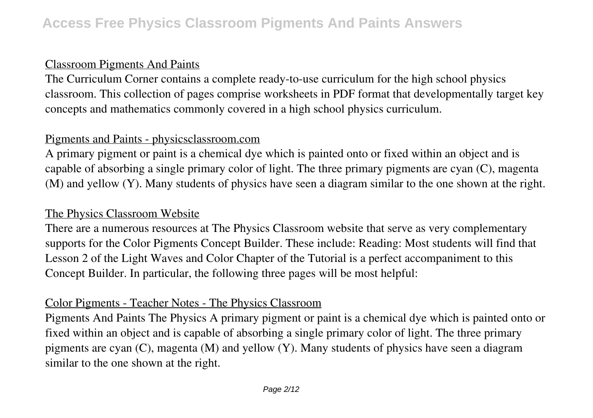# Classroom Pigments And Paints

The Curriculum Corner contains a complete ready-to-use curriculum for the high school physics classroom. This collection of pages comprise worksheets in PDF format that developmentally target key concepts and mathematics commonly covered in a high school physics curriculum.

# Pigments and Paints - physicsclassroom.com

A primary pigment or paint is a chemical dye which is painted onto or fixed within an object and is capable of absorbing a single primary color of light. The three primary pigments are cyan (C), magenta (M) and yellow (Y). Many students of physics have seen a diagram similar to the one shown at the right.

# The Physics Classroom Website

There are a numerous resources at The Physics Classroom website that serve as very complementary supports for the Color Pigments Concept Builder. These include: Reading: Most students will find that Lesson 2 of the Light Waves and Color Chapter of the Tutorial is a perfect accompaniment to this Concept Builder. In particular, the following three pages will be most helpful:

#### Color Pigments - Teacher Notes - The Physics Classroom

Pigments And Paints The Physics A primary pigment or paint is a chemical dye which is painted onto or fixed within an object and is capable of absorbing a single primary color of light. The three primary pigments are cyan (C), magenta (M) and yellow (Y). Many students of physics have seen a diagram similar to the one shown at the right.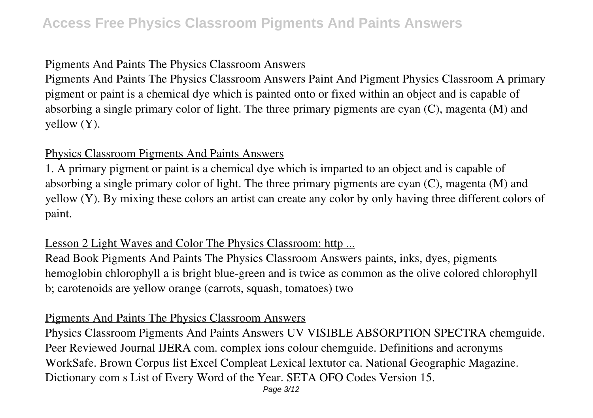# Pigments And Paints The Physics Classroom Answers

Pigments And Paints The Physics Classroom Answers Paint And Pigment Physics Classroom A primary pigment or paint is a chemical dye which is painted onto or fixed within an object and is capable of absorbing a single primary color of light. The three primary pigments are cyan (C), magenta (M) and yellow (Y).

#### Physics Classroom Pigments And Paints Answers

1. A primary pigment or paint is a chemical dye which is imparted to an object and is capable of absorbing a single primary color of light. The three primary pigments are cyan (C), magenta (M) and yellow (Y). By mixing these colors an artist can create any color by only having three different colors of paint.

# Lesson 2 Light Waves and Color The Physics Classroom: http ...

Read Book Pigments And Paints The Physics Classroom Answers paints, inks, dyes, pigments hemoglobin chlorophyll a is bright blue-green and is twice as common as the olive colored chlorophyll b; carotenoids are yellow orange (carrots, squash, tomatoes) two

#### Pigments And Paints The Physics Classroom Answers

Physics Classroom Pigments And Paints Answers UV VISIBLE ABSORPTION SPECTRA chemguide. Peer Reviewed Journal IJERA com. complex ions colour chemguide. Definitions and acronyms WorkSafe. Brown Corpus list Excel Compleat Lexical lextutor ca. National Geographic Magazine. Dictionary com s List of Every Word of the Year. SETA OFO Codes Version 15.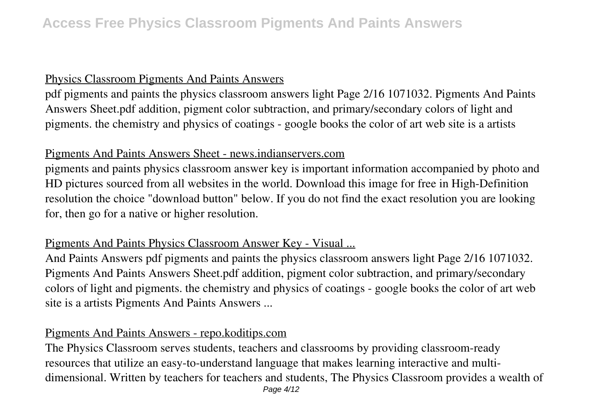#### Physics Classroom Pigments And Paints Answers

pdf pigments and paints the physics classroom answers light Page 2/16 1071032. Pigments And Paints Answers Sheet.pdf addition, pigment color subtraction, and primary/secondary colors of light and pigments. the chemistry and physics of coatings - google books the color of art web site is a artists

#### Pigments And Paints Answers Sheet - news.indianservers.com

pigments and paints physics classroom answer key is important information accompanied by photo and HD pictures sourced from all websites in the world. Download this image for free in High-Definition resolution the choice "download button" below. If you do not find the exact resolution you are looking for, then go for a native or higher resolution.

#### Pigments And Paints Physics Classroom Answer Key - Visual ...

And Paints Answers pdf pigments and paints the physics classroom answers light Page 2/16 1071032. Pigments And Paints Answers Sheet.pdf addition, pigment color subtraction, and primary/secondary colors of light and pigments. the chemistry and physics of coatings - google books the color of art web site is a artists Pigments And Paints Answers ...

# Pigments And Paints Answers - repo.koditips.com

The Physics Classroom serves students, teachers and classrooms by providing classroom-ready resources that utilize an easy-to-understand language that makes learning interactive and multidimensional. Written by teachers for teachers and students, The Physics Classroom provides a wealth of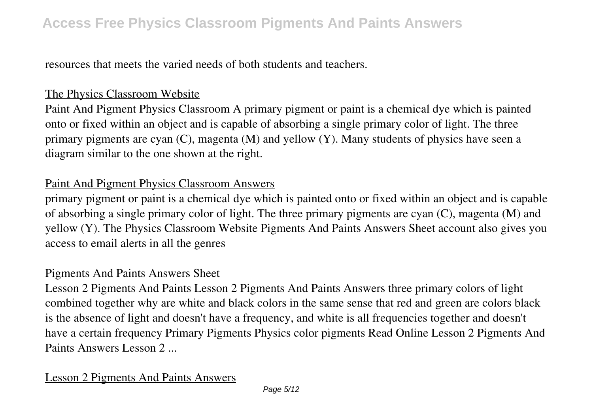resources that meets the varied needs of both students and teachers.

#### The Physics Classroom Website

Paint And Pigment Physics Classroom A primary pigment or paint is a chemical dye which is painted onto or fixed within an object and is capable of absorbing a single primary color of light. The three primary pigments are cyan (C), magenta (M) and yellow (Y). Many students of physics have seen a diagram similar to the one shown at the right.

# Paint And Pigment Physics Classroom Answers

primary pigment or paint is a chemical dye which is painted onto or fixed within an object and is capable of absorbing a single primary color of light. The three primary pigments are cyan (C), magenta (M) and yellow (Y). The Physics Classroom Website Pigments And Paints Answers Sheet account also gives you access to email alerts in all the genres

#### Pigments And Paints Answers Sheet

Lesson 2 Pigments And Paints Lesson 2 Pigments And Paints Answers three primary colors of light combined together why are white and black colors in the same sense that red and green are colors black is the absence of light and doesn't have a frequency, and white is all frequencies together and doesn't have a certain frequency Primary Pigments Physics color pigments Read Online Lesson 2 Pigments And Paints Answers Lesson 2 ...

# Lesson 2 Pigments And Paints Answers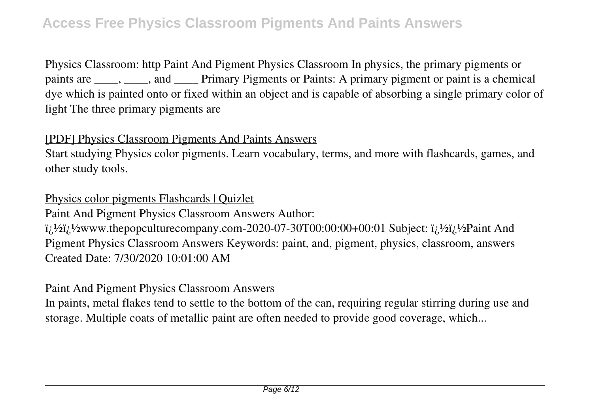Physics Classroom: http Paint And Pigment Physics Classroom In physics, the primary pigments or paints are \_\_\_\_, \_\_\_\_, and \_\_\_\_ Primary Pigments or Paints: A primary pigment or paint is a chemical dye which is painted onto or fixed within an object and is capable of absorbing a single primary color of light The three primary pigments are

# [PDF] Physics Classroom Pigments And Paints Answers

Start studying Physics color pigments. Learn vocabulary, terms, and more with flashcards, games, and other study tools.

Physics color pigments Flashcards | Quizlet

Paint And Pigment Physics Classroom Answers Author:

 $\ddot{\textbf{i}}_l$  $\frac{1}{2}$  $\ddot{\textbf{i}}_l$  $\frac{1}{2}$  $\ddot{\textbf{i}}_l$  $\frac{1}{2}$  $\ddot{\textbf{i}}_l$  $\frac{1}{2}$  $\ddot{\textbf{i}}_l$  $\frac{1}{2}$  $\ddot{\textbf{i}}_l$  $\frac{1}{2}$  $\ddot{\textbf{i}}_l$  $\frac{1}{2}$  $\ddot{\textbf{i}}_l$  $\frac{1}{2}$  $\ddot{\textbf{i}}_l$  $\frac{1}{2}$  $\ddot{\textbf{i}}_l$  $\frac{1}{2}$  $\ddot{\textbf{i}}_l$ Pigment Physics Classroom Answers Keywords: paint, and, pigment, physics, classroom, answers Created Date: 7/30/2020 10:01:00 AM

# Paint And Pigment Physics Classroom Answers

In paints, metal flakes tend to settle to the bottom of the can, requiring regular stirring during use and storage. Multiple coats of metallic paint are often needed to provide good coverage, which...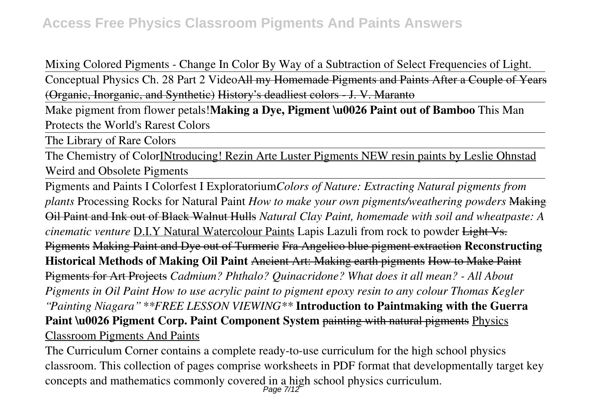Mixing Colored Pigments - Change In Color By Way of a Subtraction of Select Frequencies of Light.

Conceptual Physics Ch. 28 Part 2 VideoAll my Homemade Pigments and Paints After a Couple of Years (Organic, Inorganic, and Synthetic) History's deadliest colors - J. V. Maranto

Make pigment from flower petals!**Making a Dye, Pigment \u0026 Paint out of Bamboo** This Man Protects the World's Rarest Colors

The Library of Rare Colors

The Chemistry of ColorINtroducing! Rezin Arte Luster Pigments NEW resin paints by Leslie Ohnstad Weird and Obsolete Pigments

Pigments and Paints I Colorfest I Exploratorium*Colors of Nature: Extracting Natural pigments from plants* Processing Rocks for Natural Paint *How to make your own pigments/weathering powders* Making Oil Paint and Ink out of Black Walnut Hulls *Natural Clay Paint, homemade with soil and wheatpaste: A cinematic venture* D.I.Y Natural Watercolour Paints Lapis Lazuli from rock to powder Light Vs. Pigments Making Paint and Dye out of Turmeric Fra Angelico blue pigment extraction **Reconstructing Historical Methods of Making Oil Paint** Ancient Art: Making earth pigments How to Make Paint Pigments for Art Projects *Cadmium? Phthalo? Quinacridone? What does it all mean? - All About Pigments in Oil Paint How to use acrylic paint to pigment epoxy resin to any colour Thomas Kegler "Painting Niagara" \*\*FREE LESSON VIEWING\*\** **Introduction to Paintmaking with the Guerra Paint \u0026 Pigment Corp. Paint Component System painting with natural pigments Physics** Classroom Pigments And Paints

The Curriculum Corner contains a complete ready-to-use curriculum for the high school physics classroom. This collection of pages comprise worksheets in PDF format that developmentally target key concepts and mathematics commonly covered in a high school physics curriculum.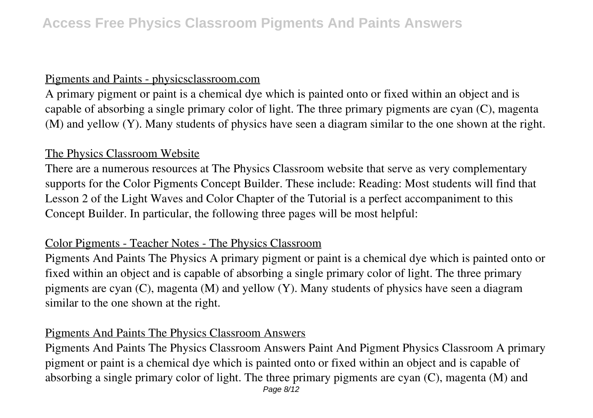#### Pigments and Paints - physicsclassroom.com

A primary pigment or paint is a chemical dye which is painted onto or fixed within an object and is capable of absorbing a single primary color of light. The three primary pigments are cyan (C), magenta (M) and yellow (Y). Many students of physics have seen a diagram similar to the one shown at the right.

# The Physics Classroom Website

There are a numerous resources at The Physics Classroom website that serve as very complementary supports for the Color Pigments Concept Builder. These include: Reading: Most students will find that Lesson 2 of the Light Waves and Color Chapter of the Tutorial is a perfect accompaniment to this Concept Builder. In particular, the following three pages will be most helpful:

# Color Pigments - Teacher Notes - The Physics Classroom

Pigments And Paints The Physics A primary pigment or paint is a chemical dye which is painted onto or fixed within an object and is capable of absorbing a single primary color of light. The three primary pigments are cyan (C), magenta (M) and yellow (Y). Many students of physics have seen a diagram similar to the one shown at the right.

# Pigments And Paints The Physics Classroom Answers

Pigments And Paints The Physics Classroom Answers Paint And Pigment Physics Classroom A primary pigment or paint is a chemical dye which is painted onto or fixed within an object and is capable of absorbing a single primary color of light. The three primary pigments are cyan (C), magenta (M) and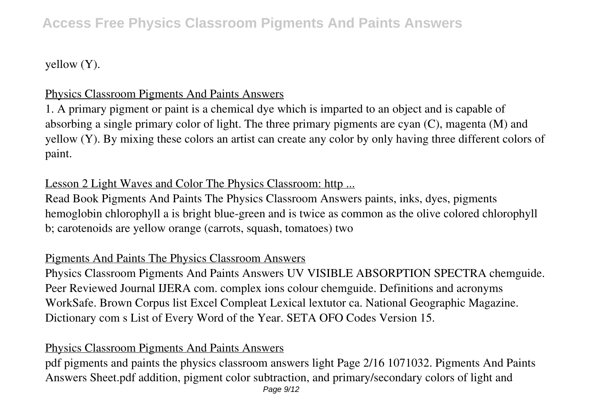# **Access Free Physics Classroom Pigments And Paints Answers**

yellow (Y).

# Physics Classroom Pigments And Paints Answers

1. A primary pigment or paint is a chemical dye which is imparted to an object and is capable of absorbing a single primary color of light. The three primary pigments are cyan (C), magenta (M) and yellow (Y). By mixing these colors an artist can create any color by only having three different colors of paint.

# Lesson 2 Light Waves and Color The Physics Classroom: http ...

Read Book Pigments And Paints The Physics Classroom Answers paints, inks, dyes, pigments hemoglobin chlorophyll a is bright blue-green and is twice as common as the olive colored chlorophyll b; carotenoids are yellow orange (carrots, squash, tomatoes) two

#### Pigments And Paints The Physics Classroom Answers

Physics Classroom Pigments And Paints Answers UV VISIBLE ABSORPTION SPECTRA chemguide. Peer Reviewed Journal IJERA com. complex ions colour chemguide. Definitions and acronyms WorkSafe. Brown Corpus list Excel Compleat Lexical lextutor ca. National Geographic Magazine. Dictionary com s List of Every Word of the Year. SETA OFO Codes Version 15.

# Physics Classroom Pigments And Paints Answers

pdf pigments and paints the physics classroom answers light Page 2/16 1071032. Pigments And Paints Answers Sheet.pdf addition, pigment color subtraction, and primary/secondary colors of light and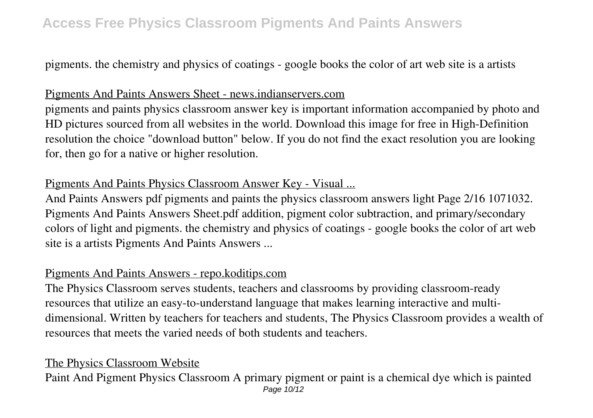# **Access Free Physics Classroom Pigments And Paints Answers**

pigments. the chemistry and physics of coatings - google books the color of art web site is a artists

#### Pigments And Paints Answers Sheet - news.indianservers.com

pigments and paints physics classroom answer key is important information accompanied by photo and HD pictures sourced from all websites in the world. Download this image for free in High-Definition resolution the choice "download button" below. If you do not find the exact resolution you are looking for, then go for a native or higher resolution.

# Pigments And Paints Physics Classroom Answer Key - Visual ...

And Paints Answers pdf pigments and paints the physics classroom answers light Page 2/16 1071032. Pigments And Paints Answers Sheet.pdf addition, pigment color subtraction, and primary/secondary colors of light and pigments. the chemistry and physics of coatings - google books the color of art web site is a artists Pigments And Paints Answers ...

#### Pigments And Paints Answers - repo.koditips.com

The Physics Classroom serves students, teachers and classrooms by providing classroom-ready resources that utilize an easy-to-understand language that makes learning interactive and multidimensional. Written by teachers for teachers and students, The Physics Classroom provides a wealth of resources that meets the varied needs of both students and teachers.

#### The Physics Classroom Website

Paint And Pigment Physics Classroom A primary pigment or paint is a chemical dye which is painted Page 10/12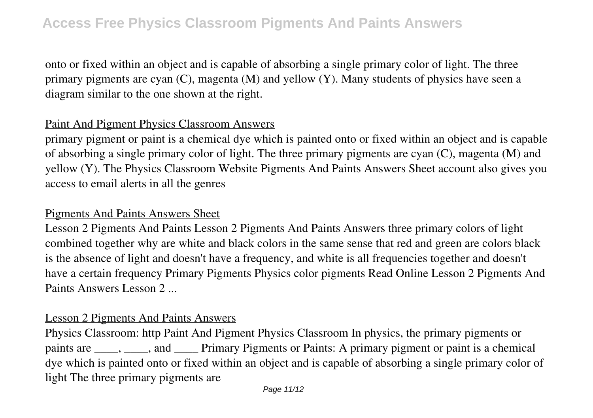onto or fixed within an object and is capable of absorbing a single primary color of light. The three primary pigments are cyan (C), magenta (M) and yellow (Y). Many students of physics have seen a diagram similar to the one shown at the right.

# Paint And Pigment Physics Classroom Answers

primary pigment or paint is a chemical dye which is painted onto or fixed within an object and is capable of absorbing a single primary color of light. The three primary pigments are cyan (C), magenta (M) and yellow (Y). The Physics Classroom Website Pigments And Paints Answers Sheet account also gives you access to email alerts in all the genres

#### Pigments And Paints Answers Sheet

Lesson 2 Pigments And Paints Lesson 2 Pigments And Paints Answers three primary colors of light combined together why are white and black colors in the same sense that red and green are colors black is the absence of light and doesn't have a frequency, and white is all frequencies together and doesn't have a certain frequency Primary Pigments Physics color pigments Read Online Lesson 2 Pigments And Paints Answers Lesson 2 ...

#### Lesson 2 Pigments And Paints Answers

Physics Classroom: http Paint And Pigment Physics Classroom In physics, the primary pigments or paints are \_\_\_\_, \_\_\_\_, and \_\_\_\_ Primary Pigments or Paints: A primary pigment or paint is a chemical dye which is painted onto or fixed within an object and is capable of absorbing a single primary color of light The three primary pigments are